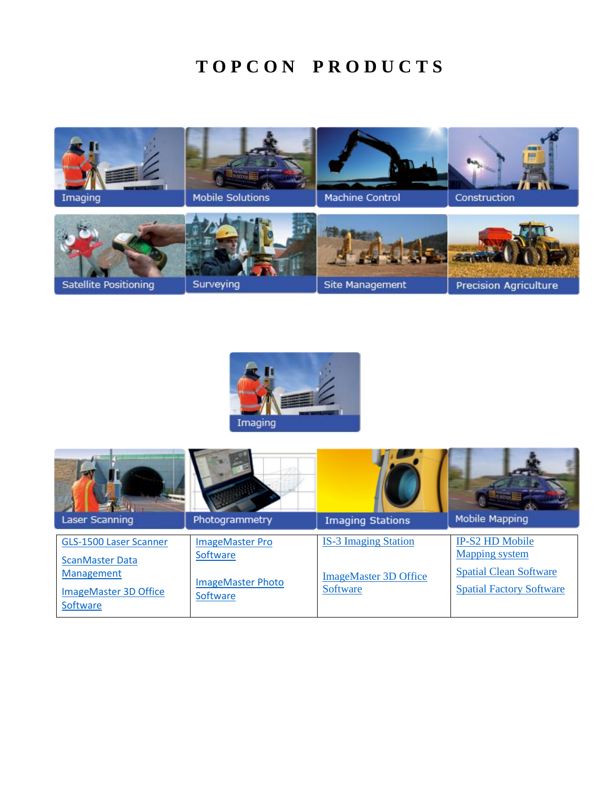## $TOPCON$  PRODUCTS





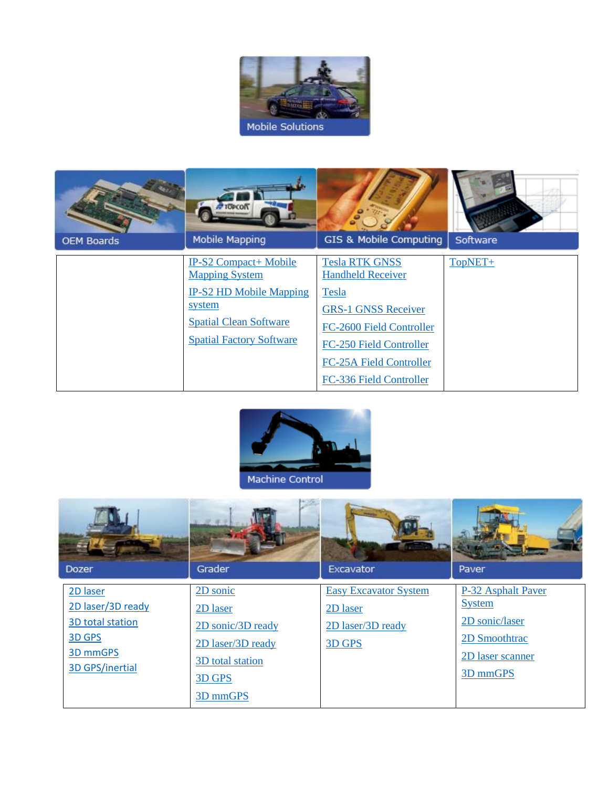

|                   | <b>TOPCON</b>                                                                                                                                                  |                                                                                                                                                                                                                     |          |
|-------------------|----------------------------------------------------------------------------------------------------------------------------------------------------------------|---------------------------------------------------------------------------------------------------------------------------------------------------------------------------------------------------------------------|----------|
| <b>OEM Boards</b> | <b>Mobile Mapping</b>                                                                                                                                          | GIS & Mobile Computing                                                                                                                                                                                              | Software |
|                   | IP-S2 Compact+ Mobile<br><b>Mapping System</b><br><b>IP-S2 HD Mobile Mapping</b><br>system<br><b>Spatial Clean Software</b><br><b>Spatial Factory Software</b> | <b>Tesla RTK GNSS</b><br><b>Handheld Receiver</b><br>Tesla<br><b>GRS-1 GNSS Receiver</b><br>FC-2600 Field Controller<br><b>FC-250 Field Controller</b><br><b>FC-25A Field Controller</b><br>FC-336 Field Controller | TopNET+  |



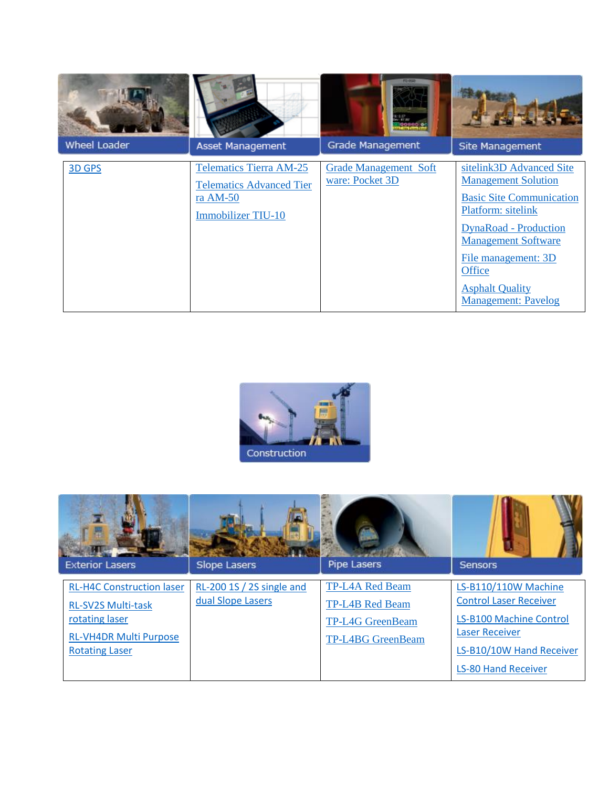| Wheel Loader | Asset Management                                                                                             | <b>PE-DIAN</b><br>Grade Management              | Site Management                                                                                                                                                                                                                                                        |
|--------------|--------------------------------------------------------------------------------------------------------------|-------------------------------------------------|------------------------------------------------------------------------------------------------------------------------------------------------------------------------------------------------------------------------------------------------------------------------|
| 3D GPS       | <b>Telematics Tierra AM-25</b><br><b>Telematics Advanced Tier</b><br>ra $AM-50$<br><b>Immobilizer TIU-10</b> | <b>Grade Management Soft</b><br>ware: Pocket 3D | sitelink3D Advanced Site<br><b>Management Solution</b><br><b>Basic Site Communication</b><br>Platform: sitelink<br><b>DynaRoad</b> - Production<br><b>Management Software</b><br>File management: 3D<br>Office<br><b>Asphalt Quality</b><br><b>Management: Pavelog</b> |



| <b>Exterior Lasers</b>                                                                                                                    | <b>Slope Lasers</b>                            | <b>Pipe Lasers</b>                                                                               | <b>Sensors</b>                                                                                                                                                      |
|-------------------------------------------------------------------------------------------------------------------------------------------|------------------------------------------------|--------------------------------------------------------------------------------------------------|---------------------------------------------------------------------------------------------------------------------------------------------------------------------|
| <b>RL-H4C Construction laser</b><br><b>RL-SV2S Multi-task</b><br>rotating laser<br><b>RL-VH4DR Multi Purpose</b><br><b>Rotating Laser</b> | RL-200 1S / 2S single and<br>dual Slope Lasers | <b>TP-L4A Red Beam</b><br><b>TP-L4B Red Beam</b><br><b>TP-L4G GreenBeam</b><br>TP-L4BG GreenBeam | LS-B110/110W Machine<br><b>Control Laser Receiver</b><br>LS-B100 Machine Control<br><b>Laser Receiver</b><br>LS-B10/10W Hand Receiver<br><b>LS-80 Hand Receiver</b> |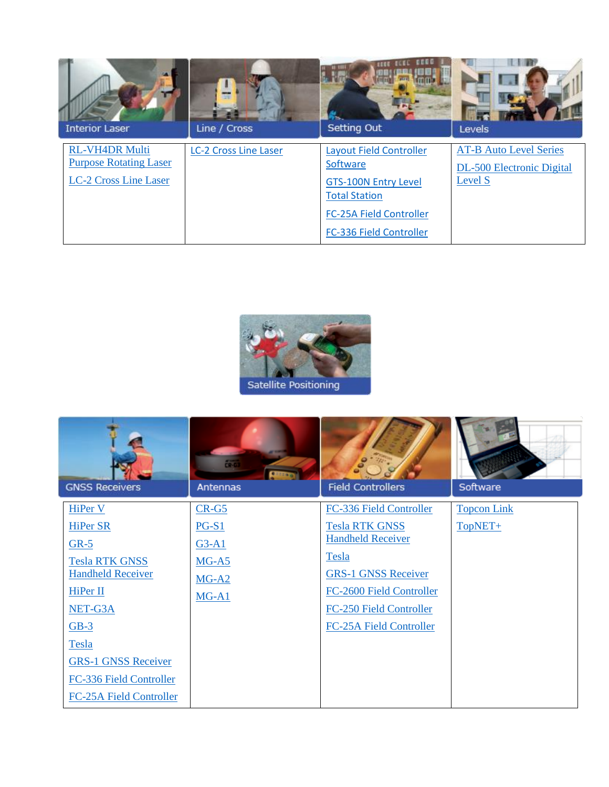| <b>Interior Laser</b>                                                           | Line / Cross                 | <b>BEEC</b><br>Setting Out                                                                                                                              | Levels                                                                       |
|---------------------------------------------------------------------------------|------------------------------|---------------------------------------------------------------------------------------------------------------------------------------------------------|------------------------------------------------------------------------------|
| <b>RL-VH4DR Multi</b><br><b>Purpose Rotating Laser</b><br>LC-2 Cross Line Laser | <b>LC-2 Cross Line Laser</b> | Layout Field Controller<br>Software<br><b>GTS-100N Entry Level</b><br><b>Total Station</b><br><b>FC-25A Field Controller</b><br>FC-336 Field Controller | <b>AT-B Auto Level Series</b><br><b>DL-500 Electronic Digital</b><br>Level S |



|                                | $\overline{\text{CP}}$ 63 |                            |                    |
|--------------------------------|---------------------------|----------------------------|--------------------|
| <b>GNSS Receivers</b>          | Antennas                  | <b>Field Controllers</b>   | Software           |
| <b>HiPer V</b>                 | $CR-G5$                   | FC-336 Field Controller    | <b>Topcon Link</b> |
| <b>HiPer SR</b>                | $PG-S1$                   | <b>Tesla RTK GNSS</b>      | TopNET+            |
| $GR-5$                         | $G3-A1$                   | <b>Handheld Receiver</b>   |                    |
| <b>Tesla RTK GNSS</b>          | $MG-A5$                   | Tesla                      |                    |
| <b>Handheld Receiver</b>       | $MG-A2$                   | <b>GRS-1 GNSS Receiver</b> |                    |
| HiPer II                       | $MG-A1$                   | FC-2600 Field Controller   |                    |
| NET-G3A                        |                           | FC-250 Field Controller    |                    |
| $GB-3$                         |                           | FC-25A Field Controller    |                    |
| Tesla                          |                           |                            |                    |
| <b>GRS-1 GNSS Receiver</b>     |                           |                            |                    |
| FC-336 Field Controller        |                           |                            |                    |
| <b>FC-25A Field Controller</b> |                           |                            |                    |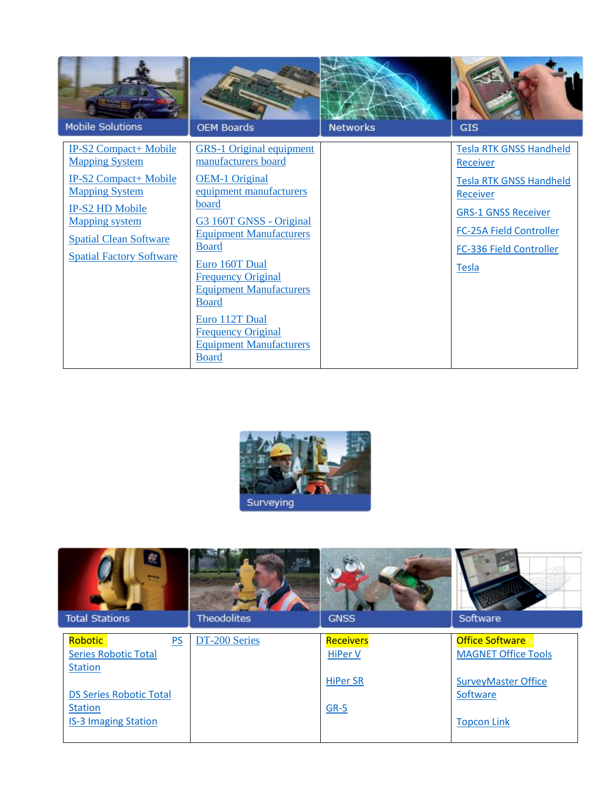| <b>Mobile Solutions</b>                                                                                                                                                                                                        | <b>OEM Boards</b>                                                                                                                                                                                                                                                                                                                                                                                  | <b>Networks</b> | <b>GIS</b>                                                                                                                                                                                   |
|--------------------------------------------------------------------------------------------------------------------------------------------------------------------------------------------------------------------------------|----------------------------------------------------------------------------------------------------------------------------------------------------------------------------------------------------------------------------------------------------------------------------------------------------------------------------------------------------------------------------------------------------|-----------------|----------------------------------------------------------------------------------------------------------------------------------------------------------------------------------------------|
| <b>IP-S2 Compact+ Mobile</b><br><b>Mapping System</b><br><b>IP-S2 Compact+ Mobile</b><br><b>Mapping System</b><br>IP-S2 HD Mobile<br><b>Mapping system</b><br><b>Spatial Clean Software</b><br><b>Spatial Factory Software</b> | <b>GRS-1 Original equipment</b><br>manufacturers board<br><b>OEM-1 Original</b><br>equipment manufacturers<br>board<br>G3 160T GNSS - Original<br><b>Equipment Manufacturers</b><br><b>Board</b><br>Euro 160T Dual<br><b>Frequency Original</b><br><b>Equipment Manufacturers</b><br><b>Board</b><br>Euro 112T Dual<br><b>Frequency Original</b><br><b>Equipment Manufacturers</b><br><b>Board</b> |                 | <b>Tesla RTK GNSS Handheld</b><br><b>Receiver</b><br><b>Tesla RTK GNSS Handheld</b><br>Receiver<br><b>GRS-1 GNSS Receiver</b><br>FC-25A Field Controller<br>FC-336 Field Controller<br>Tesla |



| Œ<br><b>Total Stations</b>     | <b>Theodolites</b> | <b>GNSS</b>      | Software                               |
|--------------------------------|--------------------|------------------|----------------------------------------|
| PS<br>RoboticT                 | DT-200 Series      | <b>Receivers</b> | <b>Office SoftwareT</b>                |
| <b>Series Robotic Total</b>    |                    | <b>HiPer V</b>   | <b>MAGNET Office Tools</b>             |
| <b>Station</b>                 |                    |                  |                                        |
| <b>DS Series Robotic Total</b> |                    | <b>HiPer SR</b>  | <b>SurveyMaster Office</b><br>Software |
| <b>Station</b>                 |                    | GR-5             |                                        |
| <b>IS-3 Imaging Station</b>    |                    |                  | <b>Topcon Link</b>                     |
|                                |                    |                  |                                        |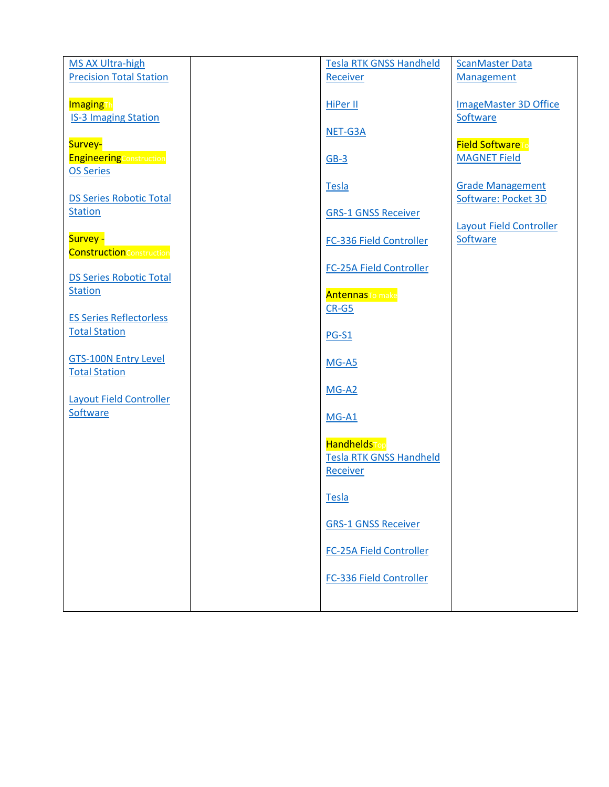| MS AX Ultra-high                                                   | <b>Tesla RTK GNSS Handheld</b>                        | <b>ScanMaster Data</b>                         |
|--------------------------------------------------------------------|-------------------------------------------------------|------------------------------------------------|
| <b>Precision Total Station</b>                                     | Receiver                                              | <b>Management</b>                              |
| <b>Imaging<sub>Th</sub></b><br><b>IS-3 Imaging Station</b>         | HiPer II<br>NET-G3A                                   | <b>ImageMaster 3D Office</b><br>Software       |
| Survey-<br><b>EngineeringConstruction</b><br><b>OS Series</b>      | $GB-3$                                                | <b>Field SoftwareTo</b><br><b>MAGNET Field</b> |
| <b>DS Series Robotic Total</b><br><b>Station</b>                   | <b>Tesla</b>                                          | <b>Grade Management</b><br>Software: Pocket 3D |
| Survey -                                                           | <b>GRS-1 GNSS Receiver</b><br>FC-336 Field Controller | <b>Layout Field Controller</b><br>Software     |
| <b>Construction</b> Construction<br><b>DS Series Robotic Total</b> | <b>FC-25A Field Controller</b>                        |                                                |
| <b>Station</b>                                                     | <b>Antennasto</b> make<br>$CR-G5$                     |                                                |
| <b>ES Series Reflectorless</b><br><b>Total Station</b>             | $PG-S1$                                               |                                                |
| <b>GTS-100N Entry Level</b><br><b>Total Station</b>                | $MG-AS$                                               |                                                |
| <b>Layout Field Controller</b><br>Software                         | $MG-A2$                                               |                                                |
|                                                                    | $MG-A1$<br><b>HandheldsTop</b>                        |                                                |
|                                                                    | <b>Tesla RTK GNSS Handheld</b><br><b>Receiver</b>     |                                                |
|                                                                    | <b>Tesla</b>                                          |                                                |
|                                                                    | <b>GRS-1 GNSS Receiver</b>                            |                                                |
|                                                                    | <b>FC-25A Field Controller</b>                        |                                                |
|                                                                    | FC-336 Field Controller                               |                                                |